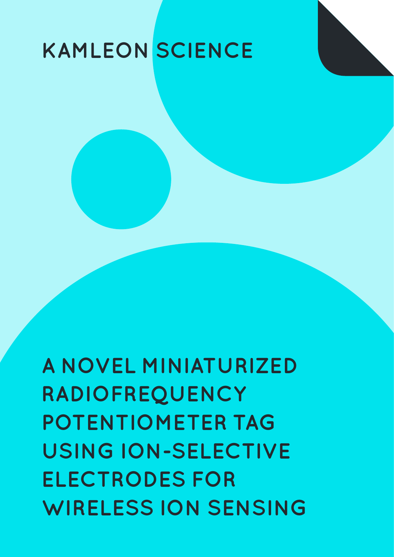# **KAMLEON SCIENCE**

**A NOVEL MINIATURIZED RADIOFREQUENCY POTENTIOMETER TAG USING ION-SELECTIVE ELECTRODES FOR WIRELESS ION SENSING**